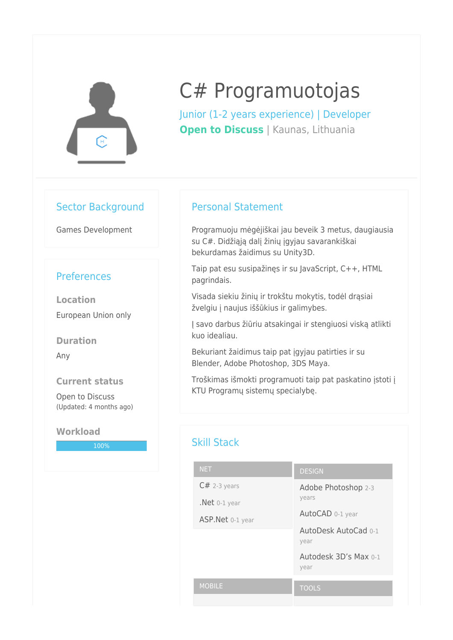

# C# Programuotojas

Junior (1-2 years experience) | Developer **Open to Discuss** | Kaunas, Lithuania

## Sector Background

Games Development

## **Preferences**

**Location** European Union only

**Duration**

Any

#### **Current status**

Open to Discuss (Updated: 4 months ago)

#### **Workload**

100%

## Personal Statement

Programuoju mėgėjiškai jau beveik 3 metus, daugiausia su C#. Didžiąją dalį žinių įgyjau savarankiškai bekurdamas žaidimus su Unity3D.

Taip pat esu susipažinęs ir su JavaScript, C++, HTML pagrindais.

Visada siekiu žinių ir trokštu mokytis, todėl drąsiai žvelgiu į naujus iššūkius ir galimybes.

Į savo darbus žiūriu atsakingai ir stengiuosi viską atlikti kuo idealiau.

Bekuriant žaidimus taip pat įgyjau patirties ir su Blender, Adobe Photoshop, 3DS Maya.

Troškimas išmokti programuoti taip pat paskatino įstoti į KTU Programų sistemų specialybę.

## Skill Stack

| <b>NET</b>       | <b>DESIGN</b>         |
|------------------|-----------------------|
| $C#$ 2-3 years   | Adobe Photoshop 2-3   |
| $.$ Net 0-1 year | years                 |
| ASP.Net 0-1 year | AutoCAD 0-1 year      |
|                  | AutoDesk AutoCad 0-1  |
|                  | year                  |
|                  | Autodesk 3D's Max 0-1 |
|                  | year                  |
| <b>MOBILE</b>    | <b>TOOLS</b>          |
|                  |                       |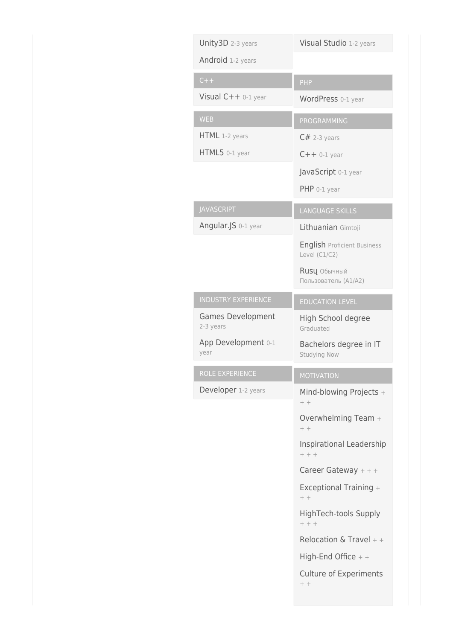| Unity3D 2-3 years                     | Visual Studio 1-2 years                             |
|---------------------------------------|-----------------------------------------------------|
| Android 1-2 years                     |                                                     |
| $C++$                                 | PHP                                                 |
| Visual C++ 0-1 year                   | WordPress 0-1 year                                  |
| <b>WEB</b>                            | PROGRAMMING                                         |
| HTML 1-2 years                        | $C#$ 2-3 years                                      |
| HTML5 0-1 year                        | $C++$ 0-1 year                                      |
|                                       | JavaScript 0-1 year                                 |
|                                       | $PHP 0-1 year$                                      |
| <b>JAVASCRIPT</b>                     | <b>LANGUAGE SKILLS</b>                              |
| Angular.JS 0-1 year                   | Lithuanian Gimtoji                                  |
|                                       | <b>English Proficient Business</b><br>Level (C1/C2) |
|                                       | Rusų Обычный<br>Пользователь (А1/А2)                |
| <b>INDUSTRY EXPERIENCE</b>            | <b>EDUCATION LEVEL</b>                              |
| <b>Games Development</b><br>2-3 years | High School degree<br>Graduated                     |
| App Development 0-1<br>year           | Bachelors degree in IT<br>Studying Now              |
| ROLE EXPERIENCE                       | <b>MOTIVATION</b>                                   |
| Developer 1-2 years                   | Mind-blowing Projects +<br>$++$                     |
|                                       | Overwhelming Team +<br>$++$                         |
|                                       | Inspirational Leadership<br>$+ + +$                 |
|                                       | Career Gateway $++$                                 |
|                                       | Exceptional Training +<br>$++$                      |
|                                       | HighTech-tools Supply<br>$+ + +$                    |
|                                       | Relocation & Travel $++$                            |
|                                       | High-End Office $+$ +                               |
|                                       | <b>Culture of Experiments</b><br>$++$               |